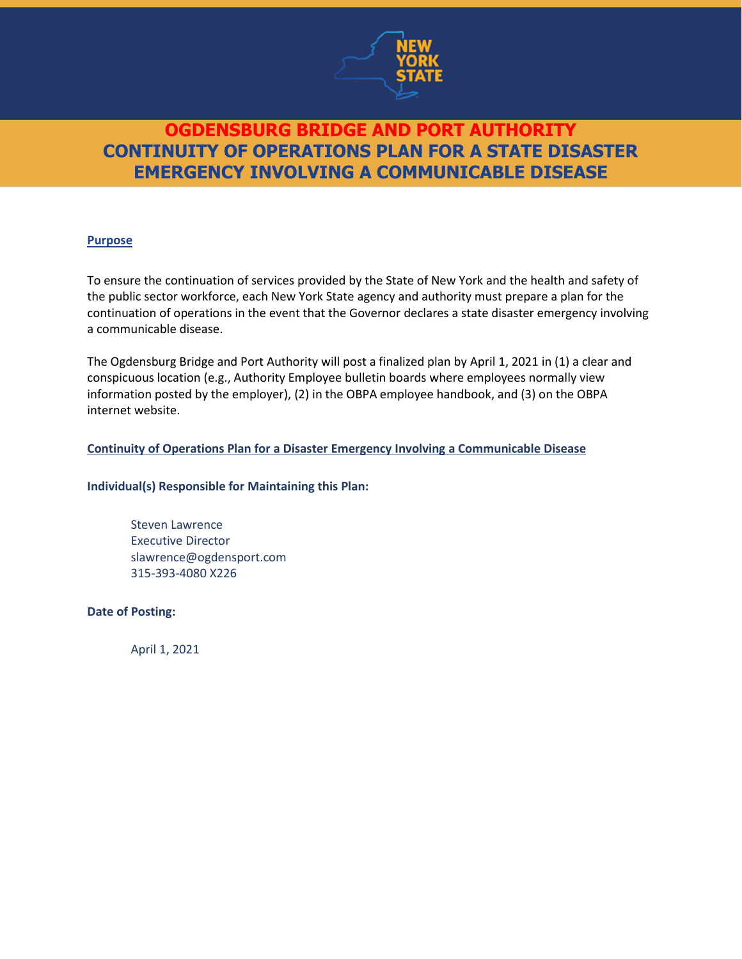

#### **Purpose**

To ensure the continuation of services provided by the State of New York and the health and safety of the public sector workforce, each New York State agency and authority must prepare a plan for the continuation of operations in the event that the Governor declares a state disaster emergency involving a communicable disease.

The Ogdensburg Bridge and Port Authority will post a finalized plan by April 1, 2021 in (1) a clear and conspicuous location (e.g., Authority Employee bulletin boards where employees normally view information posted by the employer), (2) in the OBPA employee handbook, and (3) on the OBPA internet website.

#### **Continuity of Operations Plan for a Disaster Emergency Involving a Communicable Disease**

#### **Individual(s) Responsible for Maintaining this Plan:**

Steven Lawrence Executive Director slawrence@ogdensport.com 315-393-4080 X226

**Date of Posting:**

April 1, 2021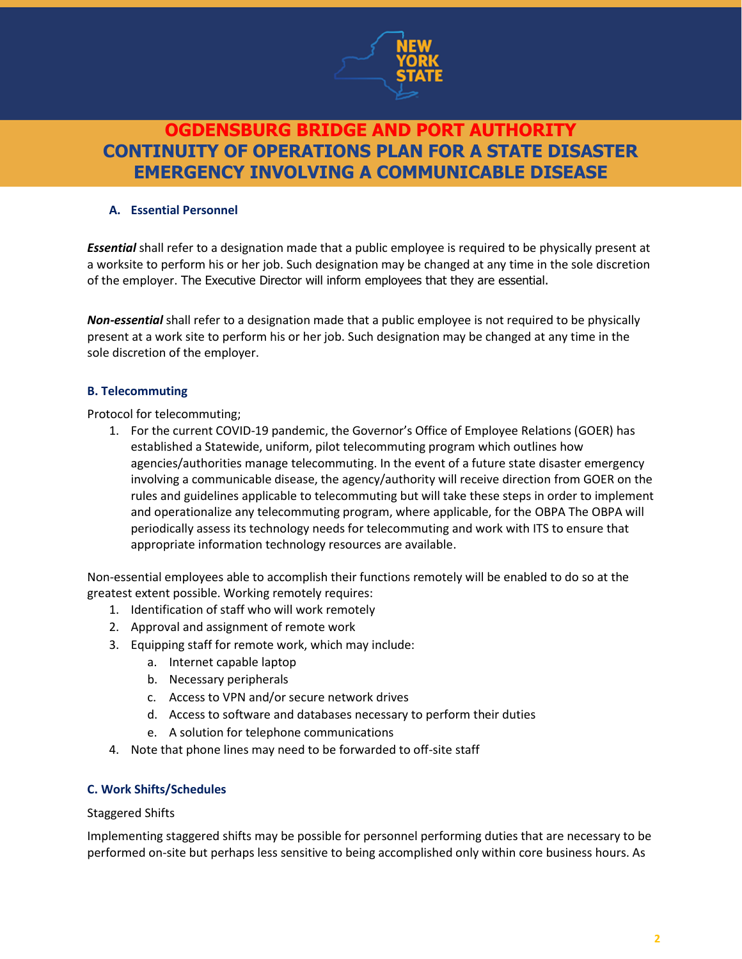

#### **A. Essential Personnel**

*Essential* shall refer to a designation made that a public employee is required to be physically present at a worksite to perform his or her job. Such designation may be changed at any time in the sole discretion of the employer. The Executive Director will inform employees that they are essential.

*Non-essential* shall refer to a designation made that a public employee is not required to be physically present at a work site to perform his or her job. Such designation may be changed at any time in the sole discretion of the employer.

#### **B. Telecommuting**

Protocol for telecommuting;

1. For the current COVID-19 pandemic, the Governor's Office of Employee Relations (GOER) has established a Statewide, uniform, pilot telecommuting program which outlines how agencies/authorities manage telecommuting. In the event of a future state disaster emergency involving a communicable disease, the agency/authority will receive direction from GOER on the rules and guidelines applicable to telecommuting but will take these steps in order to implement and operationalize any telecommuting program, where applicable, for the OBPA The OBPA will periodically assess its technology needs for telecommuting and work with ITS to ensure that appropriate information technology resources are available.

Non-essential employees able to accomplish their functions remotely will be enabled to do so at the greatest extent possible. Working remotely requires:

- 1. Identification of staff who will work remotely
- 2. Approval and assignment of remote work
- 3. Equipping staff for remote work, which may include:
	- a. Internet capable laptop
	- b. Necessary peripherals
	- c. Access to VPN and/or secure network drives
	- d. Access to software and databases necessary to perform their duties
	- e. A solution for telephone communications
- 4. Note that phone lines may need to be forwarded to off-site staff

#### **C. Work Shifts/Schedules**

Staggered Shifts

Implementing staggered shifts may be possible for personnel performing duties that are necessary to be performed on-site but perhaps less sensitive to being accomplished only within core business hours. As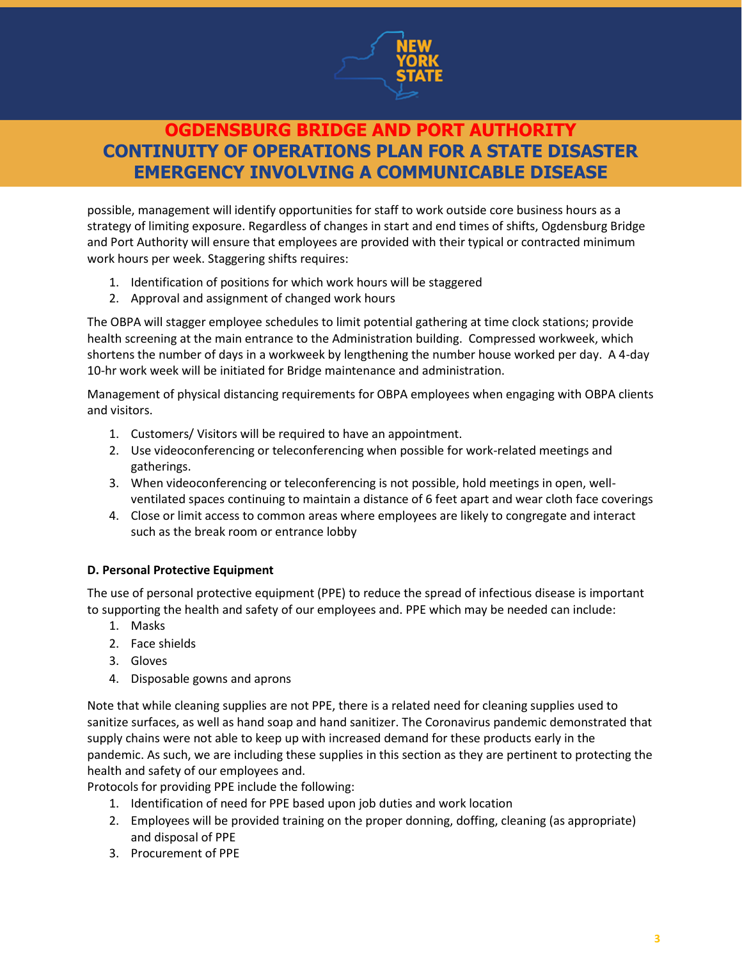

possible, management will identify opportunities for staff to work outside core business hours as a strategy of limiting exposure. Regardless of changes in start and end times of shifts, Ogdensburg Bridge and Port Authority will ensure that employees are provided with their typical or contracted minimum work hours per week. Staggering shifts requires:

- 1. Identification of positions for which work hours will be staggered
- 2. Approval and assignment of changed work hours

The OBPA will stagger employee schedules to limit potential gathering at time clock stations; provide health screening at the main entrance to the Administration building. Compressed workweek, which shortens the number of days in a workweek by lengthening the number house worked per day. A 4-day 10-hr work week will be initiated for Bridge maintenance and administration.

Management of physical distancing requirements for OBPA employees when engaging with OBPA clients and visitors.

- 1. Customers/ Visitors will be required to have an appointment.
- 2. Use videoconferencing or teleconferencing when possible for work-related meetings and gatherings.
- 3. When videoconferencing or teleconferencing is not possible, hold meetings in open, wellventilated spaces continuing to maintain a distance of 6 feet apart and wear cloth face coverings
- 4. Close or limit access to common areas where employees are likely to congregate and interact such as the break room or entrance lobby

#### **D. Personal Protective Equipment**

The use of personal protective equipment (PPE) to reduce the spread of infectious disease is important to supporting the health and safety of our employees and. PPE which may be needed can include:

- 1. Masks
- 2. Face shields
- 3. Gloves
- 4. Disposable gowns and aprons

Note that while cleaning supplies are not PPE, there is a related need for cleaning supplies used to sanitize surfaces, as well as hand soap and hand sanitizer. The Coronavirus pandemic demonstrated that supply chains were not able to keep up with increased demand for these products early in the pandemic. As such, we are including these supplies in this section as they are pertinent to protecting the health and safety of our employees and.

Protocols for providing PPE include the following:

- 1. Identification of need for PPE based upon job duties and work location
- 2. Employees will be provided training on the proper donning, doffing, cleaning (as appropriate) and disposal of PPE
- 3. Procurement of PPE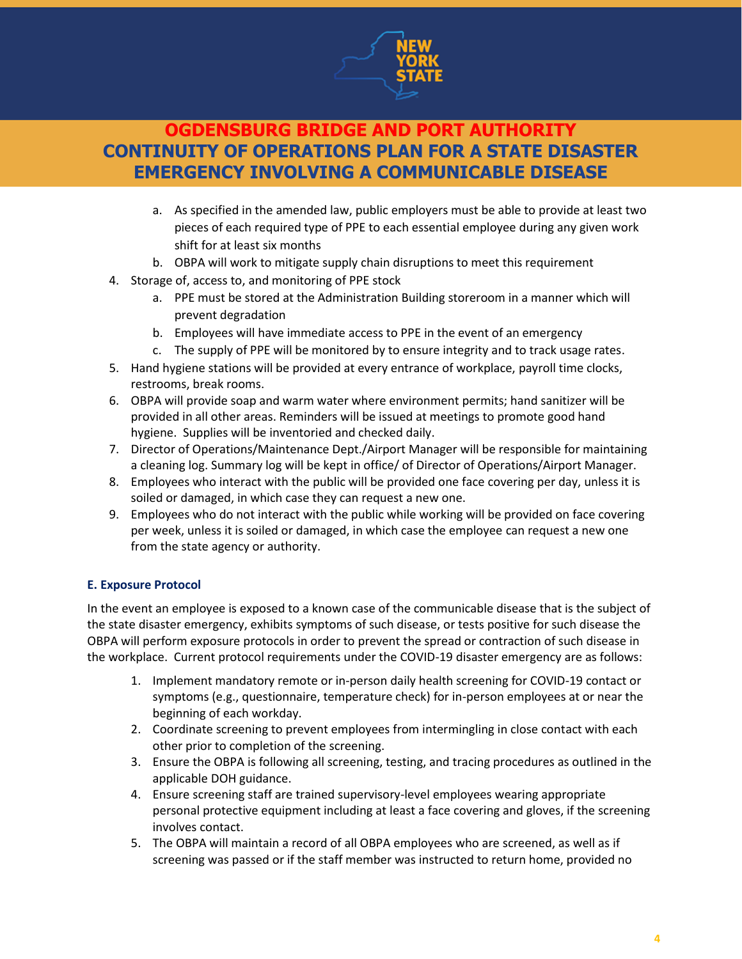

- a. As specified in the amended law, public employers must be able to provide at least two pieces of each required type of PPE to each essential employee during any given work shift for at least six months
- b. OBPA will work to mitigate supply chain disruptions to meet this requirement
- 4. Storage of, access to, and monitoring of PPE stock
	- a. PPE must be stored at the Administration Building storeroom in a manner which will prevent degradation
	- b. Employees will have immediate access to PPE in the event of an emergency
	- c. The supply of PPE will be monitored by to ensure integrity and to track usage rates.
- 5. Hand hygiene stations will be provided at every entrance of workplace, payroll time clocks, restrooms, break rooms.
- 6. OBPA will provide soap and warm water where environment permits; hand sanitizer will be provided in all other areas. Reminders will be issued at meetings to promote good hand hygiene. Supplies will be inventoried and checked daily.
- 7. Director of Operations/Maintenance Dept./Airport Manager will be responsible for maintaining a cleaning log. Summary log will be kept in office/ of Director of Operations/Airport Manager.
- 8. Employees who interact with the public will be provided one face covering per day, unless it is soiled or damaged, in which case they can request a new one.
- 9. Employees who do not interact with the public while working will be provided on face covering per week, unless it is soiled or damaged, in which case the employee can request a new one from the state agency or authority.

#### **E. Exposure Protocol**

In the event an employee is exposed to a known case of the communicable disease that is the subject of the state disaster emergency, exhibits symptoms of such disease, or tests positive for such disease the OBPA will perform exposure protocols in order to prevent the spread or contraction of such disease in the workplace. Current protocol requirements under the COVID-19 disaster emergency are as follows:

- 1. Implement mandatory remote or in-person daily health screening for COVID-19 contact or symptoms (e.g., questionnaire, temperature check) for in-person employees at or near the beginning of each workday.
- 2. Coordinate screening to prevent employees from intermingling in close contact with each other prior to completion of the screening.
- 3. Ensure the OBPA is following all screening, testing, and tracing procedures as outlined in the applicable DOH guidance.
- 4. Ensure screening staff are trained supervisory-level employees wearing appropriate personal protective equipment including at least a face covering and gloves, if the screening involves contact.
- 5. The OBPA will maintain a record of all OBPA employees who are screened, as well as if screening was passed or if the staff member was instructed to return home, provided no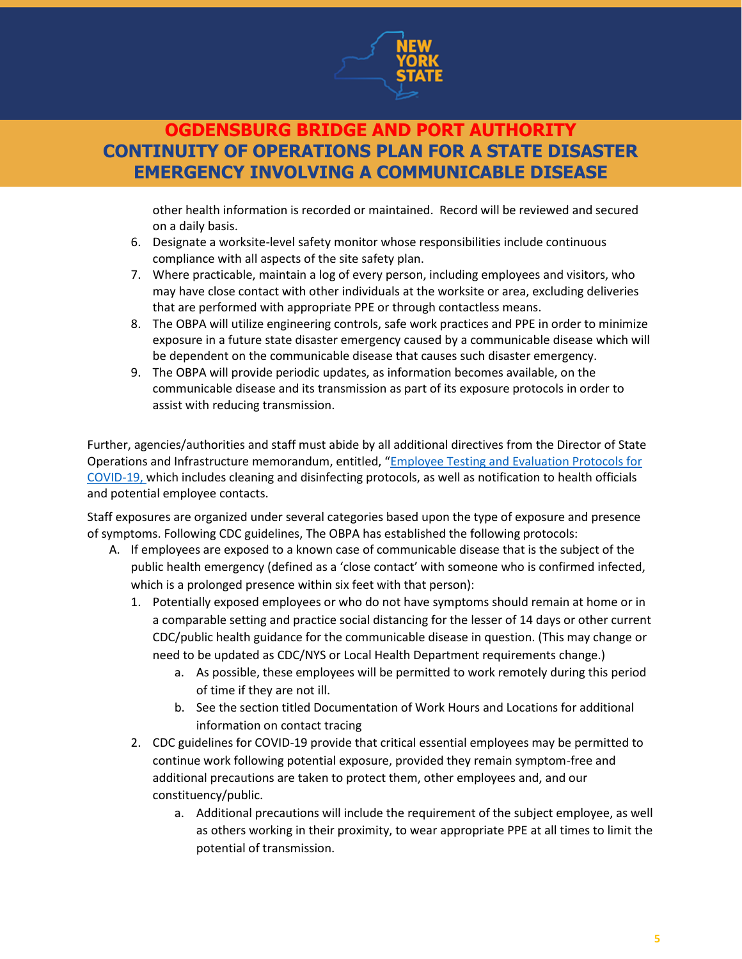

other health information is recorded or maintained. Record will be reviewed and secured on a daily basis.

- 6. Designate a worksite-level safety monitor whose responsibilities include continuous compliance with all aspects of the site safety plan.
- 7. Where practicable, maintain a log of every person, including employees and visitors, who may have close contact with other individuals at the worksite or area, excluding deliveries that are performed with appropriate PPE or through contactless means.
- 8. The OBPA will utilize engineering controls, safe work practices and PPE in order to minimize exposure in a future state disaster emergency caused by a communicable disease which will be dependent on the communicable disease that causes such disaster emergency.
- 9. The OBPA will provide periodic updates, as information becomes available, on the communicable disease and its transmission as part of its exposure protocols in order to assist with reducing transmission.

Further, agencies/authorities and staff must abide by all additional directives from the Director of State Operations and Infrastructure memorandum, entitled, "[Employee Testing and Evaluation Protocols for](https://rioc.ny.gov/DocumentCenter/View/3325/COVID-19-Employee-Exposure-Testing-Evaluation?bidId=)  [COVID-19,](https://rioc.ny.gov/DocumentCenter/View/3325/COVID-19-Employee-Exposure-Testing-Evaluation?bidId=) which includes cleaning and disinfecting protocols, as well as notification to health officials and potential employee contacts.

Staff exposures are organized under several categories based upon the type of exposure and presence of symptoms. Following CDC guidelines, The OBPA has established the following protocols:

- A. If employees are exposed to a known case of communicable disease that is the subject of the public health emergency (defined as a 'close contact' with someone who is confirmed infected, which is a prolonged presence within six feet with that person):
	- 1. Potentially exposed employees or who do not have symptoms should remain at home or in a comparable setting and practice social distancing for the lesser of 14 days or other current CDC/public health guidance for the communicable disease in question. (This may change or need to be updated as CDC/NYS or Local Health Department requirements change.)
		- a. As possible, these employees will be permitted to work remotely during this period of time if they are not ill.
		- b. See the section titled Documentation of Work Hours and Locations for additional information on contact tracing
	- 2. CDC guidelines for COVID-19 provide that critical essential employees may be permitted to continue work following potential exposure, provided they remain symptom-free and additional precautions are taken to protect them, other employees and, and our constituency/public.
		- a. Additional precautions will include the requirement of the subject employee, as well as others working in their proximity, to wear appropriate PPE at all times to limit the potential of transmission.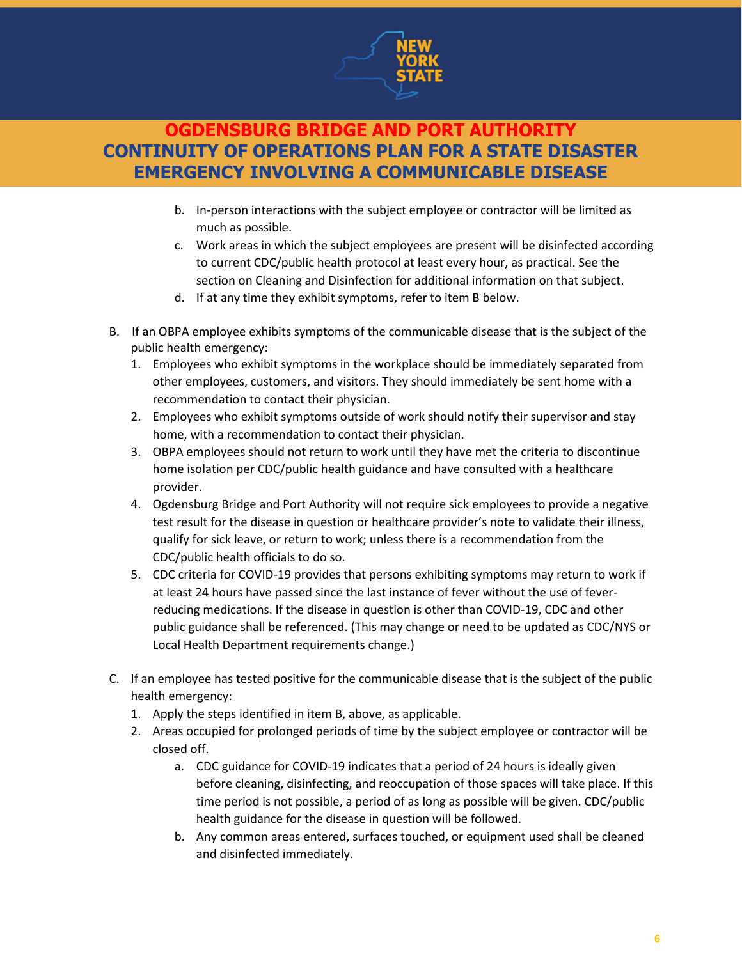

- b. In-person interactions with the subject employee or contractor will be limited as much as possible.
- c. Work areas in which the subject employees are present will be disinfected according to current CDC/public health protocol at least every hour, as practical. See the section on Cleaning and Disinfection for additional information on that subject.
- d. If at any time they exhibit symptoms, refer to item B below.
- B. If an OBPA employee exhibits symptoms of the communicable disease that is the subject of the public health emergency:
	- 1. Employees who exhibit symptoms in the workplace should be immediately separated from other employees, customers, and visitors. They should immediately be sent home with a recommendation to contact their physician.
	- 2. Employees who exhibit symptoms outside of work should notify their supervisor and stay home, with a recommendation to contact their physician.
	- 3. OBPA employees should not return to work until they have met the criteria to discontinue home isolation per CDC/public health guidance and have consulted with a healthcare provider.
	- 4. Ogdensburg Bridge and Port Authority will not require sick employees to provide a negative test result for the disease in question or healthcare provider's note to validate their illness, qualify for sick leave, or return to work; unless there is a recommendation from the CDC/public health officials to do so.
	- 5. CDC criteria for COVID-19 provides that persons exhibiting symptoms may return to work if at least 24 hours have passed since the last instance of fever without the use of feverreducing medications. If the disease in question is other than COVID-19, CDC and other public guidance shall be referenced. (This may change or need to be updated as CDC/NYS or Local Health Department requirements change.)
- C. If an employee has tested positive for the communicable disease that is the subject of the public health emergency:
	- 1. Apply the steps identified in item B, above, as applicable.
	- 2. Areas occupied for prolonged periods of time by the subject employee or contractor will be closed off.
		- a. CDC guidance for COVID-19 indicates that a period of 24 hours is ideally given before cleaning, disinfecting, and reoccupation of those spaces will take place. If this time period is not possible, a period of as long as possible will be given. CDC/public health guidance for the disease in question will be followed.
		- b. Any common areas entered, surfaces touched, or equipment used shall be cleaned and disinfected immediately.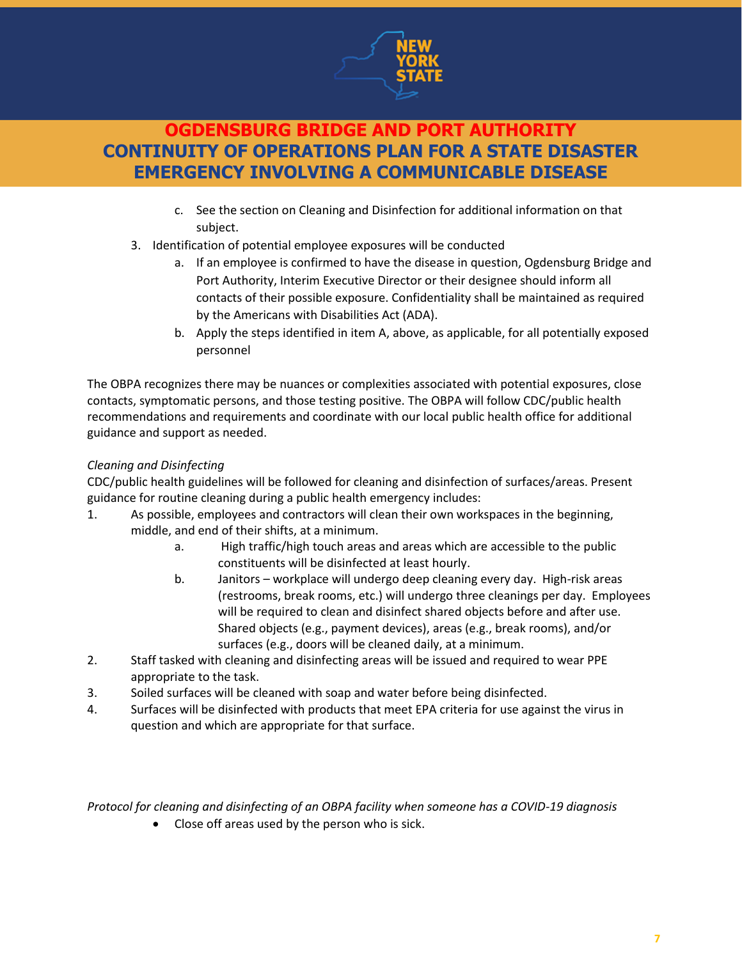

- c. See the section on Cleaning and Disinfection for additional information on that subject.
- 3. Identification of potential employee exposures will be conducted
	- a. If an employee is confirmed to have the disease in question, Ogdensburg Bridge and Port Authority, Interim Executive Director or their designee should inform all contacts of their possible exposure. Confidentiality shall be maintained as required by the Americans with Disabilities Act (ADA).
	- b. Apply the steps identified in item A, above, as applicable, for all potentially exposed personnel

The OBPA recognizes there may be nuances or complexities associated with potential exposures, close contacts, symptomatic persons, and those testing positive. The OBPA will follow CDC/public health recommendations and requirements and coordinate with our local public health office for additional guidance and support as needed.

### *Cleaning and Disinfecting*

CDC/public health guidelines will be followed for cleaning and disinfection of surfaces/areas. Present guidance for routine cleaning during a public health emergency includes:

- 1. As possible, employees and contractors will clean their own workspaces in the beginning, middle, and end of their shifts, at a minimum.
	- a. High traffic/high touch areas and areas which are accessible to the public constituents will be disinfected at least hourly.
	- b. Janitors workplace will undergo deep cleaning every day. High-risk areas (restrooms, break rooms, etc.) will undergo three cleanings per day. Employees will be required to clean and disinfect shared objects before and after use. Shared objects (e.g., payment devices), areas (e.g., break rooms), and/or surfaces (e.g., doors will be cleaned daily, at a minimum.
- 2. Staff tasked with cleaning and disinfecting areas will be issued and required to wear PPE appropriate to the task.
- 3. Soiled surfaces will be cleaned with soap and water before being disinfected.
- 4. Surfaces will be disinfected with products that meet EPA criteria for use against the virus in question and which are appropriate for that surface.

*Protocol for cleaning and disinfecting of an OBPA facility when someone has a COVID-19 diagnosis*

• Close off areas used by the person who is sick.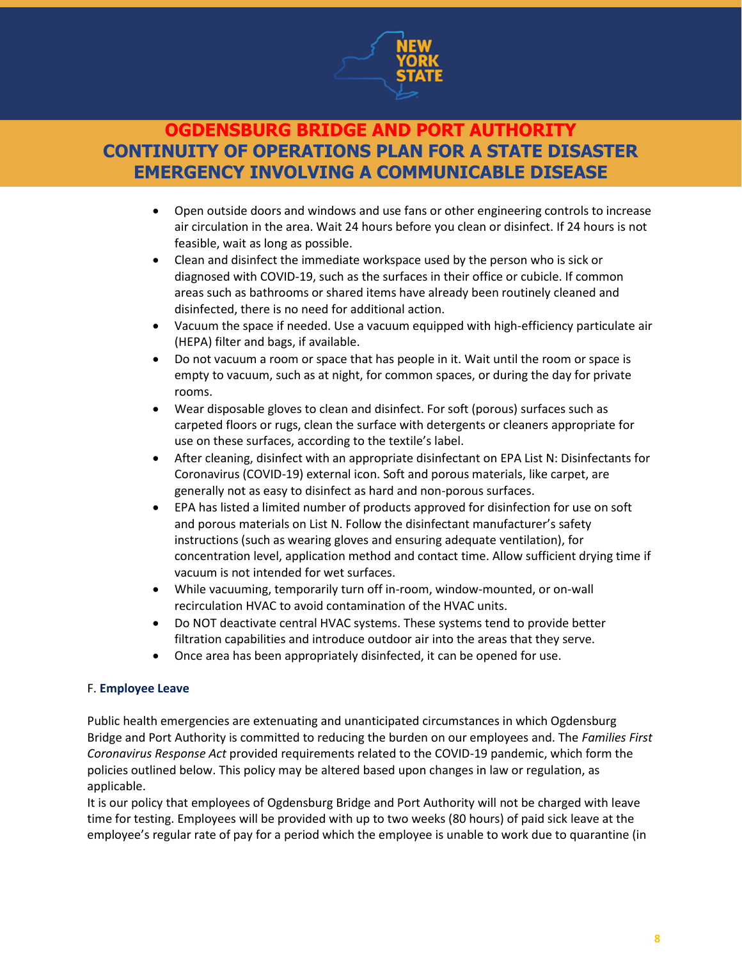

- Open outside doors and windows and use fans or other engineering controls to increase air circulation in the area. Wait 24 hours before you clean or disinfect. If 24 hours is not feasible, wait as long as possible.
- Clean and disinfect the immediate workspace used by the person who is sick or diagnosed with COVID-19, such as the surfaces in their office or cubicle. If common areas such as bathrooms or shared items have already been routinely cleaned and disinfected, there is no need for additional action.
- Vacuum the space if needed. Use a vacuum equipped with high-efficiency particulate air (HEPA) filter and bags, if available.
- Do not vacuum a room or space that has people in it. Wait until the room or space is empty to vacuum, such as at night, for common spaces, or during the day for private rooms.
- Wear disposable gloves to clean and disinfect. For soft (porous) surfaces such as carpeted floors or rugs, clean the surface with detergents or cleaners appropriate for use on these surfaces, according to the textile's label.
- After cleaning, disinfect with an appropriate disinfectant on EPA List N: Disinfectants for Coronavirus (COVID-19) external icon. Soft and porous materials, like carpet, are generally not as easy to disinfect as hard and non-porous surfaces.
- EPA has listed a limited number of products approved for disinfection for use on soft and porous materials on List N. Follow the disinfectant manufacturer's safety instructions (such as wearing gloves and ensuring adequate ventilation), for concentration level, application method and contact time. Allow sufficient drying time if vacuum is not intended for wet surfaces.
- While vacuuming, temporarily turn off in-room, window-mounted, or on-wall recirculation HVAC to avoid contamination of the HVAC units.
- Do NOT deactivate central HVAC systems. These systems tend to provide better filtration capabilities and introduce outdoor air into the areas that they serve.
- Once area has been appropriately disinfected, it can be opened for use.

#### F. **Employee Leave**

Public health emergencies are extenuating and unanticipated circumstances in which Ogdensburg Bridge and Port Authority is committed to reducing the burden on our employees and. The *Families First Coronavirus Response Act* provided requirements related to the COVID-19 pandemic, which form the policies outlined below. This policy may be altered based upon changes in law or regulation, as applicable.

It is our policy that employees of Ogdensburg Bridge and Port Authority will not be charged with leave time for testing. Employees will be provided with up to two weeks (80 hours) of paid sick leave at the employee's regular rate of pay for a period which the employee is unable to work due to quarantine (in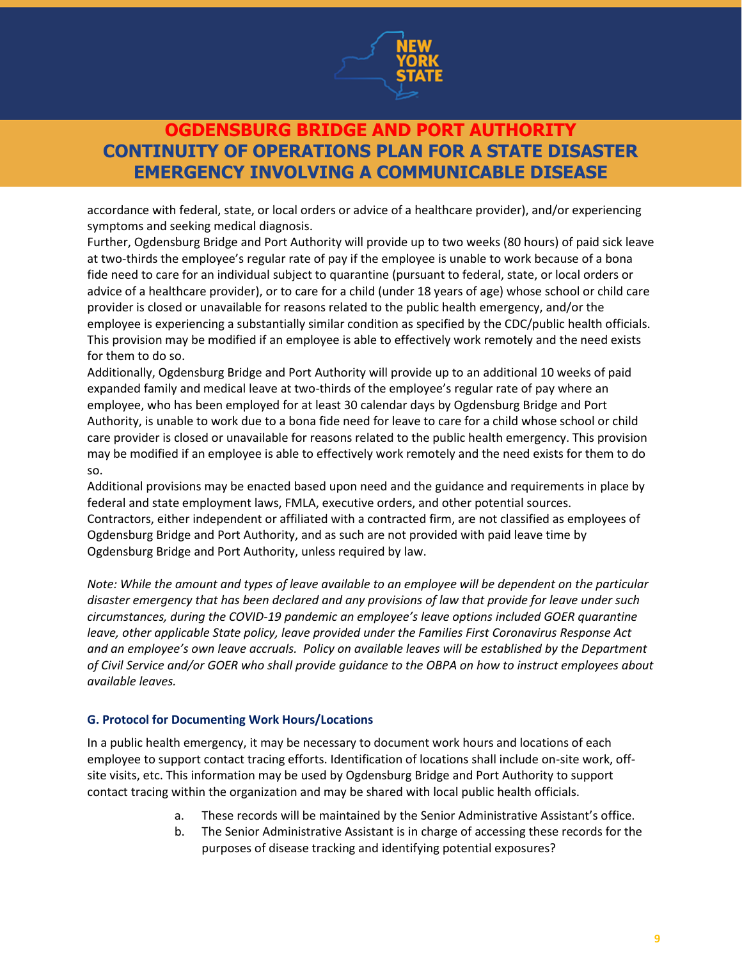

accordance with federal, state, or local orders or advice of a healthcare provider), and/or experiencing symptoms and seeking medical diagnosis.

Further, Ogdensburg Bridge and Port Authority will provide up to two weeks (80 hours) of paid sick leave at two-thirds the employee's regular rate of pay if the employee is unable to work because of a bona fide need to care for an individual subject to quarantine (pursuant to federal, state, or local orders or advice of a healthcare provider), or to care for a child (under 18 years of age) whose school or child care provider is closed or unavailable for reasons related to the public health emergency, and/or the employee is experiencing a substantially similar condition as specified by the CDC/public health officials. This provision may be modified if an employee is able to effectively work remotely and the need exists for them to do so.

Additionally, Ogdensburg Bridge and Port Authority will provide up to an additional 10 weeks of paid expanded family and medical leave at two-thirds of the employee's regular rate of pay where an employee, who has been employed for at least 30 calendar days by Ogdensburg Bridge and Port Authority, is unable to work due to a bona fide need for leave to care for a child whose school or child care provider is closed or unavailable for reasons related to the public health emergency. This provision may be modified if an employee is able to effectively work remotely and the need exists for them to do so.

Additional provisions may be enacted based upon need and the guidance and requirements in place by federal and state employment laws, FMLA, executive orders, and other potential sources. Contractors, either independent or affiliated with a contracted firm, are not classified as employees of Ogdensburg Bridge and Port Authority, and as such are not provided with paid leave time by Ogdensburg Bridge and Port Authority, unless required by law.

*Note: While the amount and types of leave available to an employee will be dependent on the particular disaster emergency that has been declared and any provisions of law that provide for leave under such circumstances, during the COVID-19 pandemic an employee's leave options included GOER quarantine leave, other applicable State policy, leave provided under the Families First Coronavirus Response Act and an employee's own leave accruals. Policy on available leaves will be established by the Department of Civil Service and/or GOER who shall provide guidance to the OBPA on how to instruct employees about available leaves.*

#### **G. Protocol for Documenting Work Hours/Locations**

In a public health emergency, it may be necessary to document work hours and locations of each employee to support contact tracing efforts. Identification of locations shall include on-site work, offsite visits, etc. This information may be used by Ogdensburg Bridge and Port Authority to support contact tracing within the organization and may be shared with local public health officials.

- a. These records will be maintained by the Senior Administrative Assistant's office.
- b. The Senior Administrative Assistant is in charge of accessing these records for the purposes of disease tracking and identifying potential exposures?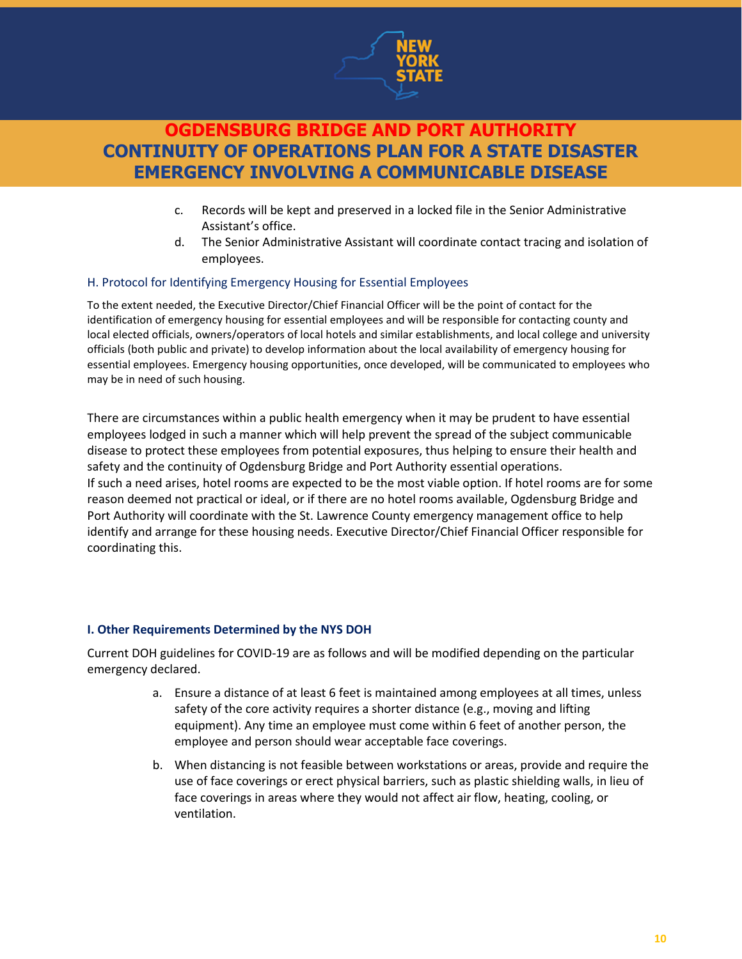

- c. Records will be kept and preserved in a locked file in the Senior Administrative Assistant's office.
- d. The Senior Administrative Assistant will coordinate contact tracing and isolation of employees.

#### H. Protocol for Identifying Emergency Housing for Essential Employees

To the extent needed, the Executive Director/Chief Financial Officer will be the point of contact for the identification of emergency housing for essential employees and will be responsible for contacting county and local elected officials, owners/operators of local hotels and similar establishments, and local college and university officials (both public and private) to develop information about the local availability of emergency housing for essential employees. Emergency housing opportunities, once developed, will be communicated to employees who may be in need of such housing.

There are circumstances within a public health emergency when it may be prudent to have essential employees lodged in such a manner which will help prevent the spread of the subject communicable disease to protect these employees from potential exposures, thus helping to ensure their health and safety and the continuity of Ogdensburg Bridge and Port Authority essential operations. If such a need arises, hotel rooms are expected to be the most viable option. If hotel rooms are for some reason deemed not practical or ideal, or if there are no hotel rooms available, Ogdensburg Bridge and Port Authority will coordinate with the St. Lawrence County emergency management office to help identify and arrange for these housing needs. Executive Director/Chief Financial Officer responsible for coordinating this.

#### **I. Other Requirements Determined by the NYS DOH**

Current DOH guidelines for COVID-19 are as follows and will be modified depending on the particular emergency declared.

- a. Ensure a distance of at least 6 feet is maintained among employees at all times, unless safety of the core activity requires a shorter distance (e.g., moving and lifting equipment). Any time an employee must come within 6 feet of another person, the employee and person should wear acceptable face coverings.
- b. When distancing is not feasible between workstations or areas, provide and require the use of face coverings or erect physical barriers, such as plastic shielding walls, in lieu of face coverings in areas where they would not affect air flow, heating, cooling, or ventilation.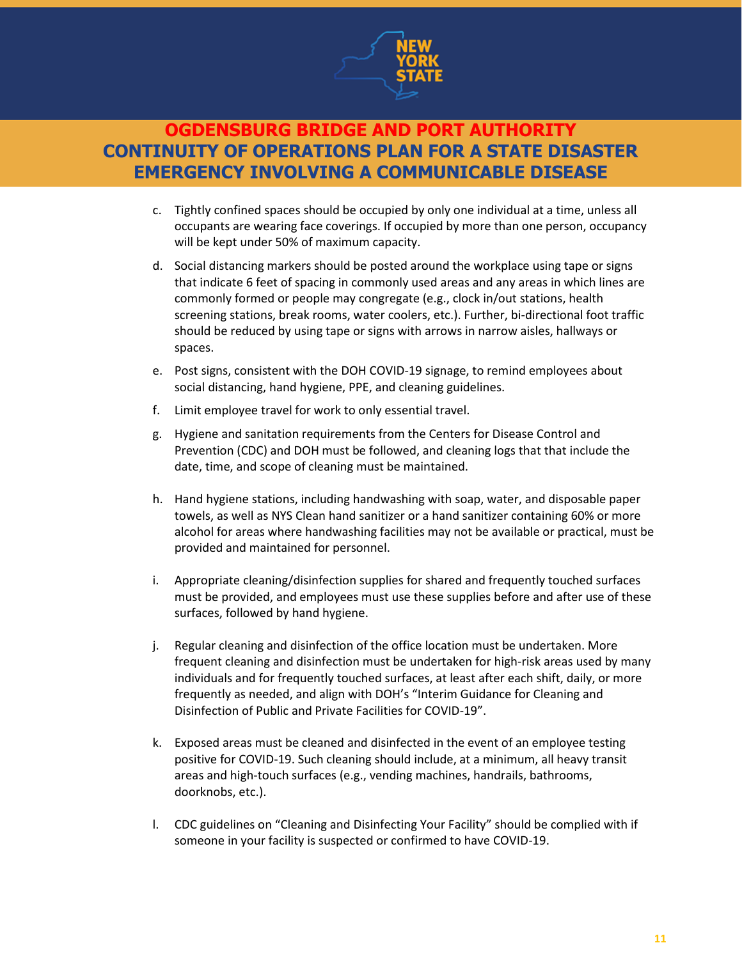

- c. Tightly confined spaces should be occupied by only one individual at a time, unless all occupants are wearing face coverings. If occupied by more than one person, occupancy will be kept under 50% of maximum capacity.
- d. Social distancing markers should be posted around the workplace using tape or signs that indicate 6 feet of spacing in commonly used areas and any areas in which lines are commonly formed or people may congregate (e.g., clock in/out stations, health screening stations, break rooms, water coolers, etc.). Further, bi-directional foot traffic should be reduced by using tape or signs with arrows in narrow aisles, hallways or spaces.
- e. Post signs, consistent with the DOH COVID-19 signage, to remind employees about social distancing, hand hygiene, PPE, and cleaning guidelines.
- f. Limit employee travel for work to only essential travel.
- g. Hygiene and sanitation requirements from the Centers for Disease Control and Prevention (CDC) and DOH must be followed, and cleaning logs that that include the date, time, and scope of cleaning must be maintained.
- h. Hand hygiene stations, including handwashing with soap, water, and disposable paper towels, as well as NYS Clean hand sanitizer or a hand sanitizer containing 60% or more alcohol for areas where handwashing facilities may not be available or practical, must be provided and maintained for personnel.
- i. Appropriate cleaning/disinfection supplies for shared and frequently touched surfaces must be provided, and employees must use these supplies before and after use of these surfaces, followed by hand hygiene.
- j. Regular cleaning and disinfection of the office location must be undertaken. More frequent cleaning and disinfection must be undertaken for high-risk areas used by many individuals and for frequently touched surfaces, at least after each shift, daily, or more frequently as needed, and align with DOH's "Interim Guidance for Cleaning and Disinfection of Public and Private Facilities for COVID-19".
- k. Exposed areas must be cleaned and disinfected in the event of an employee testing positive for COVID-19. Such cleaning should include, at a minimum, all heavy transit areas and high-touch surfaces (e.g., vending machines, handrails, bathrooms, doorknobs, etc.).
- l. CDC guidelines on "Cleaning and Disinfecting Your Facility" should be complied with if someone in your facility is suspected or confirmed to have COVID-19.